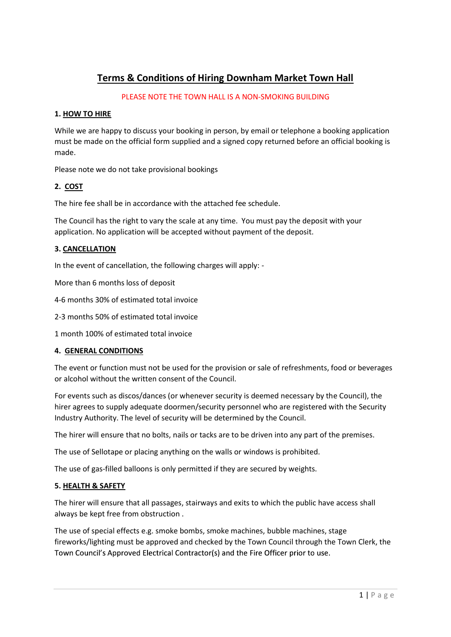# Terms & Conditions of Hiring Downham Market Town Hall

#### PLEASE NOTE THE TOWN HALL IS A NON-SMOKING BUILDING

#### 1. HOW TO HIRE

While we are happy to discuss your booking in person, by email or telephone a booking application must be made on the official form supplied and a signed copy returned before an official booking is made.

Please note we do not take provisional bookings

#### 2. COST

The hire fee shall be in accordance with the attached fee schedule.

The Council has the right to vary the scale at any time. You must pay the deposit with your application. No application will be accepted without payment of the deposit.

#### 3. CANCELLATION

In the event of cancellation, the following charges will apply: -

More than 6 months loss of deposit

4-6 months 30% of estimated total invoice

2-3 months 50% of estimated total invoice

1 month 100% of estimated total invoice

#### 4. GENERAL CONDITIONS

The event or function must not be used for the provision or sale of refreshments, food or beverages or alcohol without the written consent of the Council.

For events such as discos/dances (or whenever security is deemed necessary by the Council), the hirer agrees to supply adequate doormen/security personnel who are registered with the Security Industry Authority. The level of security will be determined by the Council.

The hirer will ensure that no bolts, nails or tacks are to be driven into any part of the premises.

The use of Sellotape or placing anything on the walls or windows is prohibited.

The use of gas-filled balloons is only permitted if they are secured by weights.

#### 5. HEALTH & SAFETY

The hirer will ensure that all passages, stairways and exits to which the public have access shall always be kept free from obstruction .

Security<br>ises.<br>shall<br>Clerk, the<br>1 | P a g e The use of special effects e.g. smoke bombs, smoke machines, bubble machines, stage fireworks/lighting must be approved and checked by the Town Council through the Town Clerk, the Town Council's Approved Electrical Contractor(s) and the Fire Officer prior to use.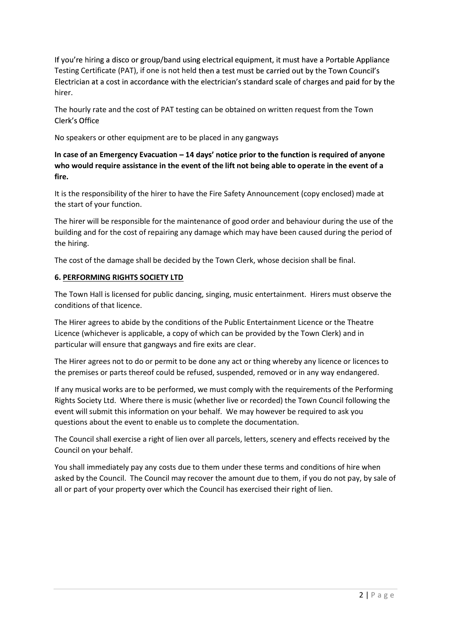If you're hiring a disco or group/band using electrical equipment, it must have a Portable Appliance Testing Certificate (PAT), if one is not held then a test must be carried out by the Town Council's Electrician at a cost in accordance with the electrician's standard scale of charges and paid for by the hirer.

The hourly rate and the cost of PAT testing can be obtained on written request from the Town Clerk's Office

No speakers or other equipment are to be placed in any gangways

In case of an Emergency Evacuation  $-14$  days' notice prior to the function is required of anyone who would require assistance in the event of the lift not being able to operate in the event of a fire.

It is the responsibility of the hirer to have the Fire Safety Announcement (copy enclosed) made at the start of your function.

The hirer will be responsible for the maintenance of good order and behaviour during the use of the building and for the cost of repairing any damage which may have been caused during the period of the hiring.

The cost of the damage shall be decided by the Town Clerk, whose decision shall be final.

#### 6. PERFORMING RIGHTS SOCIETY LTD

The Town Hall is licensed for public dancing, singing, music entertainment. Hirers must observe the conditions of that licence.

The Hirer agrees to abide by the conditions of the Public Entertainment Licence or the Theatre Licence (whichever is applicable, a copy of which can be provided by the Town Clerk) and in particular will ensure that gangways and fire exits are clear.

The Hirer agrees not to do or permit to be done any act or thing whereby any licence or licences to the premises or parts thereof could be refused, suspended, removed or in any way endangered.

If any musical works are to be performed, we must comply with the requirements of the Performing Rights Society Ltd. Where there is music (whether live or recorded) the Town Council following the event will submit this information on your behalf. We may however be required to ask you questions about the event to enable us to complete the documentation.

The Council shall exercise a right of lien over all parcels, letters, scenery and effects received by the Council on your behalf.

u<br>
ed by the<br>
2 | P a g e<br>
2 | P a g e You shall immediately pay any costs due to them under these terms and conditions of hire when asked by the Council. The Council may recover the amount due to them, if you do not pay, by sale of all or part of your property over which the Council has exercised their right of lien.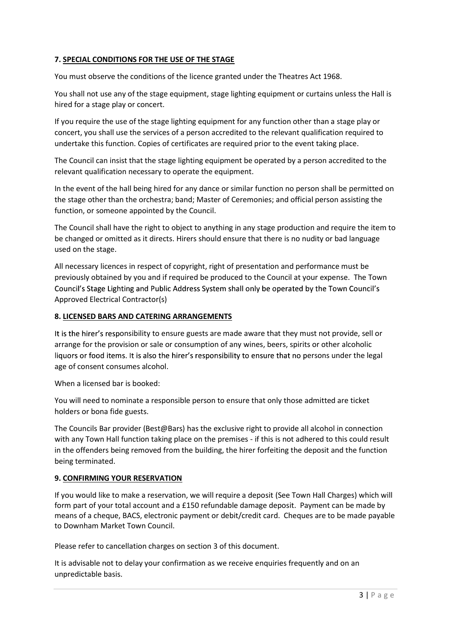#### 7. SPECIAL CONDITIONS FOR THE USE OF THE STAGE

You must observe the conditions of the licence granted under the Theatres Act 1968.

You shall not use any of the stage equipment, stage lighting equipment or curtains unless the Hall is hired for a stage play or concert.

If you require the use of the stage lighting equipment for any function other than a stage play or concert, you shall use the services of a person accredited to the relevant qualification required to undertake this function. Copies of certificates are required prior to the event taking place.

The Council can insist that the stage lighting equipment be operated by a person accredited to the relevant qualification necessary to operate the equipment.

In the event of the hall being hired for any dance or similar function no person shall be permitted on the stage other than the orchestra; band; Master of Ceremonies; and official person assisting the function, or someone appointed by the Council.

The Council shall have the right to object to anything in any stage production and require the item to be changed or omitted as it directs. Hirers should ensure that there is no nudity or bad language used on the stage.

All necessary licences in respect of copyright, right of presentation and performance must be previously obtained by you and if required be produced to the Council at your expense. The Town Council's Stage Lighting and Public Address System shall only be operated by the Town Council's Approved Electrical Contractor(s)

#### 8. LICENSED BARS AND CATERING ARRANGEMENTS

It is the hirer's responsibility to ensure guests are made aware that they must not provide, sell or arrange for the provision or sale or consumption of any wines, beers, spirits or other alcoholic liquors or food items. It is also the hirer's responsibility to ensure that no persons under the legal age of consent consumes alcohol.

When a licensed bar is booked:

You will need to nominate a responsible person to ensure that only those admitted are ticket holders or bona fide guests.

The Councils Bar provider (Best@Bars) has the exclusive right to provide all alcohol in connection with any Town Hall function taking place on the premises - if this is not adhered to this could result in the offenders being removed from the building, the hirer forfeiting the deposit and the function being terminated.

#### 9. CONFIRMING YOUR RESERVATION

nection<br>
uld result<br>
function<br>
which will<br>
nade by<br>
de payable<br>
3 | P a g e If you would like to make a reservation, we will require a deposit (See Town Hall Charges) which will form part of your total account and a £150 refundable damage deposit. Payment can be made by means of a cheque, BACS, electronic payment or debit/credit card. Cheques are to be made payable to Downham Market Town Council.

Please refer to cancellation charges on section 3 of this document.

It is advisable not to delay your confirmation as we receive enquiries frequently and on an unpredictable basis.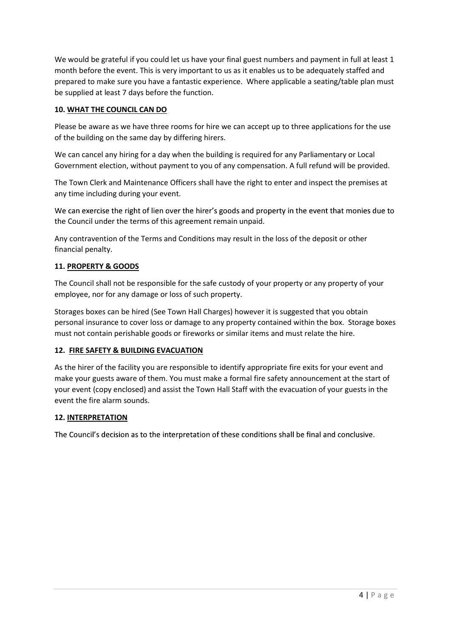We would be grateful if you could let us have your final guest numbers and payment in full at least 1 month before the event. This is very important to us as it enables us to be adequately staffed and prepared to make sure you have a fantastic experience. Where applicable a seating/table plan must be supplied at least 7 days before the function.

#### 10. WHAT THE COUNCIL CAN DO

Please be aware as we have three rooms for hire we can accept up to three applications for the use of the building on the same day by differing hirers.

We can cancel any hiring for a day when the building is required for any Parliamentary or Local Government election, without payment to you of any compensation. A full refund will be provided.

The Town Clerk and Maintenance Officers shall have the right to enter and inspect the premises at any time including during your event.

We can exercise the right of lien over the hirer's goods and property in the event that monies due to the Council under the terms of this agreement remain unpaid.

Any contravention of the Terms and Conditions may result in the loss of the deposit or other financial penalty.

#### 11. PROPERTY & GOODS

The Council shall not be responsible for the safe custody of your property or any property of your employee, nor for any damage or loss of such property.

Storages boxes can be hired (See Town Hall Charges) however it is suggested that you obtain personal insurance to cover loss or damage to any property contained within the box. Storage boxes must not contain perishable goods or fireworks or similar items and must relate the hire.

#### 12. FIRE SAFETY & BUILDING EVACUATION

As the hirer of the facility you are responsible to identify appropriate fire exits for your event and make your guests aware of them. You must make a formal fire safety announcement at the start of your event (copy enclosed) and assist the Town Hall Staff with the evacuation of your guests in the event the fire alarm sounds.

#### 12. INTERPRETATION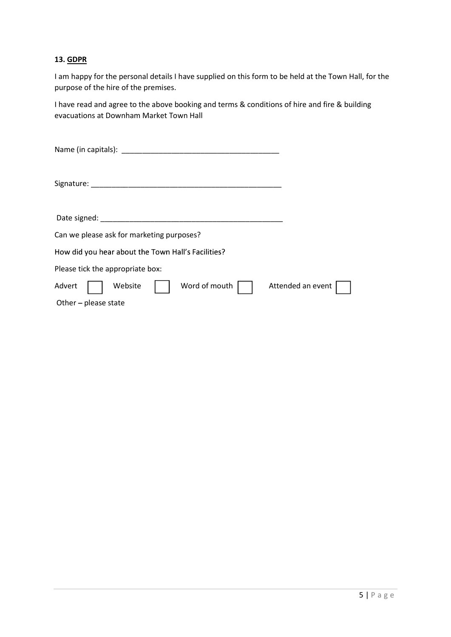#### 13. GDPR

I am happy for the personal details I have supplied on this form to be held at the Town Hall, for the purpose of the hire of the premises.

I have read and agree to the above booking and terms & conditions of hire and fire & building evacuations at Downham Market Town Hall

| Name (in capitals): Name (in capitals): Name (in capitals): Name (in capitals) |                   |
|--------------------------------------------------------------------------------|-------------------|
|                                                                                |                   |
| Date signed: Date signed:                                                      |                   |
| Can we please ask for marketing purposes?                                      |                   |
| How did you hear about the Town Hall's Facilities?                             |                   |
| Please tick the appropriate box:                                               |                   |
| Advert<br>Word of mouth<br>Website                                             | Attended an event |
| Other $-$ please state                                                         |                   |